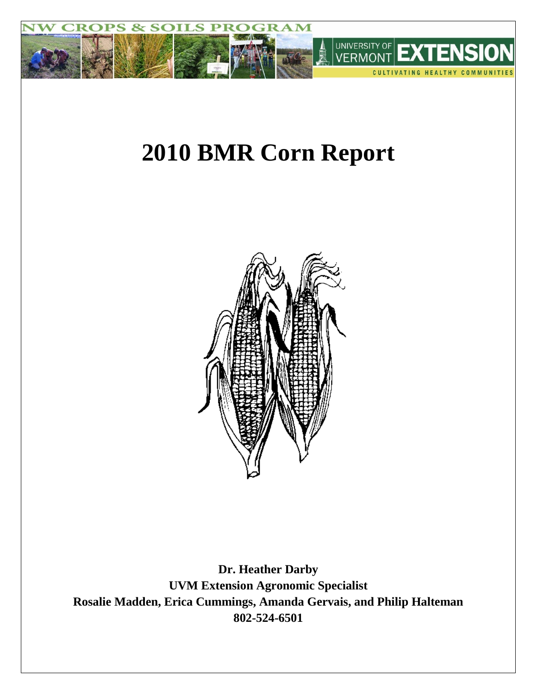

# **2010 BMR Corn Report**



**Dr. Heather Darby UVM Extension Agronomic Specialist Rosalie Madden, Erica Cummings, Amanda Gervais, and Philip Halteman 802-524-6501**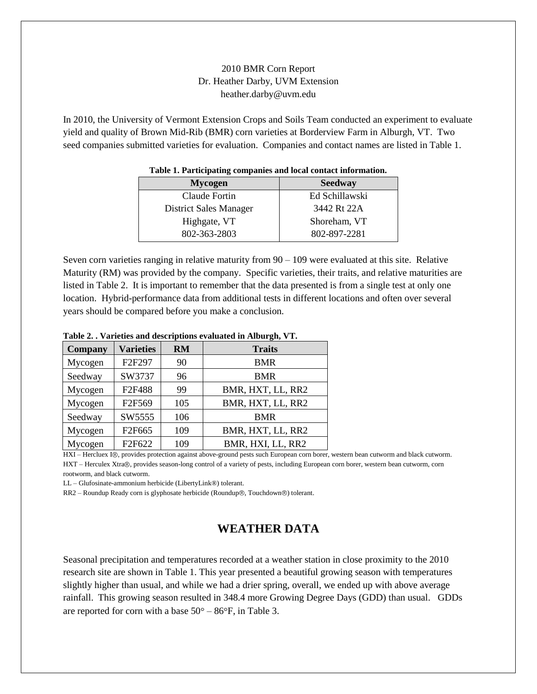## 2010 BMR Corn Report Dr. Heather Darby, UVM Extension heather.darby@uvm.edu

In 2010, the University of Vermont Extension Crops and Soils Team conducted an experiment to evaluate yield and quality of Brown Mid-Rib (BMR) corn varieties at Borderview Farm in Alburgh, VT. Two seed companies submitted varieties for evaluation. Companies and contact names are listed in Table 1.

| <b>Mycogen</b>         | <b>Seedway</b> |  |  |  |  |  |
|------------------------|----------------|--|--|--|--|--|
| Claude Fortin          | Ed Schillawski |  |  |  |  |  |
| District Sales Manager | 3442 Rt 22A    |  |  |  |  |  |
| Highgate, VT           | Shoreham, VT   |  |  |  |  |  |
| 802-363-2803           | 802-897-2281   |  |  |  |  |  |

#### **Table 1. Participating companies and local contact information.**

Seven corn varieties ranging in relative maturity from 90 – 109 were evaluated at this site. Relative Maturity (RM) was provided by the company. Specific varieties, their traits, and relative maturities are listed in Table 2. It is important to remember that the data presented is from a single test at only one location. Hybrid-performance data from additional tests in different locations and often over several years should be compared before you make a conclusion.

| Company | <b>Varieties</b>   | <b>RM</b> | <b>Traits</b>     |  |  |  |  |
|---------|--------------------|-----------|-------------------|--|--|--|--|
| Mycogen | F2F297             | 90        | <b>BMR</b>        |  |  |  |  |
| Seedway | SW3737             | 96        | <b>BMR</b>        |  |  |  |  |
| Mycogen | F2F488             | 99        | BMR, HXT, LL, RR2 |  |  |  |  |
| Mycogen | F2F569             | 105       | BMR, HXT, LL, RR2 |  |  |  |  |
| Seedway | SW5555             | 106       | <b>BMR</b>        |  |  |  |  |
| Mycogen | F <sub>2F665</sub> | 109       | BMR, HXT, LL, RR2 |  |  |  |  |
| Mycogen | F <sub>2F622</sub> | 109       | BMR, HXI, LL, RR2 |  |  |  |  |

#### **Table 2. . Varieties and descriptions evaluated in Alburgh, VT.**

HXI – Hercluex I®, provides protection against above-ground pests such European corn borer, western bean cutworm and black cutworm. HXT – Herculex Xtra®, provides season-long control of a variety of pests, including European corn borer, western bean cutworm, corn rootworm, and black cutworm.

LL – Glufosinate-ammonium herbicide (LibertyLink®) tolerant.

RR2 – Roundup Ready corn is glyphosate herbicide (Roundup®, Touchdown®) tolerant.

# **WEATHER DATA**

Seasonal precipitation and temperatures recorded at a weather station in close proximity to the 2010 research site are shown in Table 1. This year presented a beautiful growing season with temperatures slightly higher than usual, and while we had a drier spring, overall, we ended up with above average rainfall. This growing season resulted in 348.4 more Growing Degree Days (GDD) than usual. GDDs are reported for corn with a base  $50^{\circ} - 86^{\circ}$ F, in Table 3.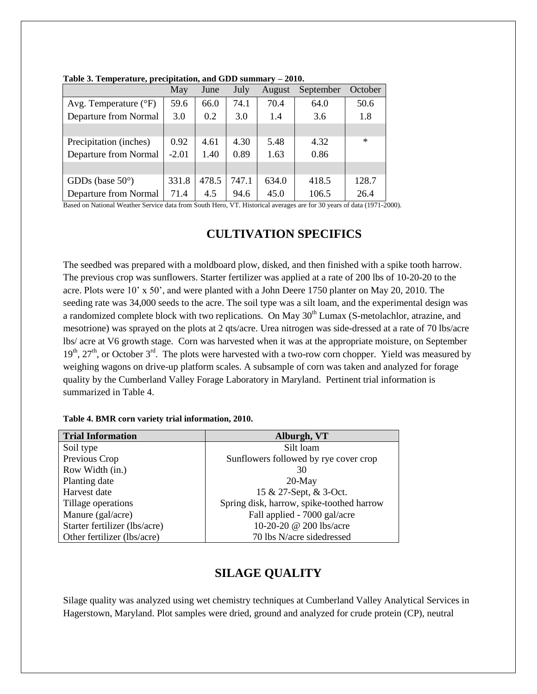|                                | May     | June  | July  | August | September | October |  |
|--------------------------------|---------|-------|-------|--------|-----------|---------|--|
| Avg. Temperature $(^{\circ}F)$ | 59.6    | 66.0  | 74.1  | 70.4   | 64.0      | 50.6    |  |
| Departure from Normal          | 3.0     | 0.2   | 3.0   | 1.4    | 3.6       | 1.8     |  |
|                                |         |       |       |        |           |         |  |
| Precipitation (inches)         | 0.92    | 4.61  | 4.30  | 5.48   | 4.32      | $\ast$  |  |
| Departure from Normal          | $-2.01$ | 1.40  | 0.89  | 1.63   | 0.86      |         |  |
|                                |         |       |       |        |           |         |  |
| GDDs (base $50^{\circ}$ )      | 331.8   | 478.5 | 747.1 | 634.0  | 418.5     | 128.7   |  |
| Departure from Normal          | 71.4    | 4.5   | 94.6  | 45.0   | 106.5     | 26.4    |  |

**Table 3. Temperature, precipitation, and GDD summary – 2010.**

Based on National Weather Service data from South Hero, VT. Historical averages are for 30 years of data (1971-2000).

## **CULTIVATION SPECIFICS**

The seedbed was prepared with a moldboard plow, disked, and then finished with a spike tooth harrow. The previous crop was sunflowers. Starter fertilizer was applied at a rate of 200 lbs of 10-20-20 to the acre. Plots were 10' x 50', and were planted with a John Deere 1750 planter on May 20, 2010. The seeding rate was 34,000 seeds to the acre. The soil type was a silt loam, and the experimental design was a randomized complete block with two replications. On May 30<sup>th</sup> Lumax (S-metolachlor, atrazine, and mesotrione) was sprayed on the plots at 2 qts/acre. Urea nitrogen was side-dressed at a rate of 70 lbs/acre lbs/ acre at V6 growth stage. Corn was harvested when it was at the appropriate moisture, on September  $19<sup>th</sup>$ ,  $27<sup>th</sup>$ , or October  $3<sup>rd</sup>$ . The plots were harvested with a two-row corn chopper. Yield was measured by weighing wagons on drive-up platform scales. A subsample of corn was taken and analyzed for forage quality by the Cumberland Valley Forage Laboratory in Maryland. Pertinent trial information is summarized in Table 4.

| <b>Trial Information</b>      | Alburgh, VT                               |
|-------------------------------|-------------------------------------------|
| Soil type                     | Silt loam                                 |
| Previous Crop                 | Sunflowers followed by rye cover crop     |
| Row Width (in.)               | 30                                        |
| Planting date                 | $20$ -May                                 |
| Harvest date                  | 15 & 27-Sept, & 3-Oct.                    |
| Tillage operations            | Spring disk, harrow, spike-toothed harrow |
| Manure (gal/acre)             | Fall applied - 7000 gal/acre              |
| Starter fertilizer (lbs/acre) | 10-20-20 @ 200 lbs/acre                   |
| Other fertilizer (lbs/acre)   | 70 lbs N/acre sidedressed                 |

#### **Table 4. BMR corn variety trial information, 2010.**

# **SILAGE QUALITY**

Silage quality was analyzed using wet chemistry techniques at Cumberland Valley Analytical Services in Hagerstown, Maryland. Plot samples were dried, ground and analyzed for crude protein (CP), neutral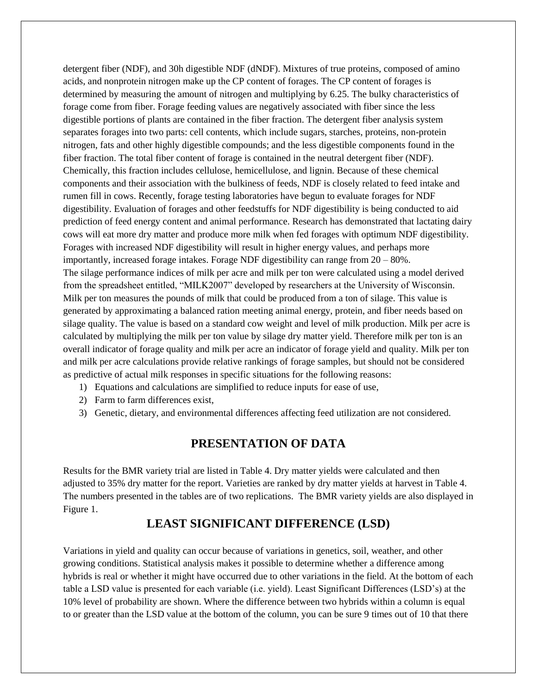detergent fiber (NDF), and 30h digestible NDF (dNDF). Mixtures of true proteins, composed of amino acids, and nonprotein nitrogen make up the CP content of forages. The CP content of forages is determined by measuring the amount of nitrogen and multiplying by 6.25. The bulky characteristics of forage come from fiber. Forage feeding values are negatively associated with fiber since the less digestible portions of plants are contained in the fiber fraction. The detergent fiber analysis system separates forages into two parts: cell contents, which include sugars, starches, proteins, non-protein nitrogen, fats and other highly digestible compounds; and the less digestible components found in the fiber fraction. The total fiber content of forage is contained in the neutral detergent fiber (NDF). Chemically, this fraction includes cellulose, hemicellulose, and lignin. Because of these chemical components and their association with the bulkiness of feeds, NDF is closely related to feed intake and rumen fill in cows. Recently, forage testing laboratories have begun to evaluate forages for NDF digestibility. Evaluation of forages and other feedstuffs for NDF digestibility is being conducted to aid prediction of feed energy content and animal performance. Research has demonstrated that lactating dairy cows will eat more dry matter and produce more milk when fed forages with optimum NDF digestibility. Forages with increased NDF digestibility will result in higher energy values, and perhaps more importantly, increased forage intakes. Forage NDF digestibility can range from 20 – 80%. The silage performance indices of milk per acre and milk per ton were calculated using a model derived from the spreadsheet entitled, "MILK2007" developed by researchers at the University of Wisconsin. Milk per ton measures the pounds of milk that could be produced from a ton of silage. This value is generated by approximating a balanced ration meeting animal energy, protein, and fiber needs based on silage quality. The value is based on a standard cow weight and level of milk production. Milk per acre is calculated by multiplying the milk per ton value by silage dry matter yield. Therefore milk per ton is an overall indicator of forage quality and milk per acre an indicator of forage yield and quality. Milk per ton and milk per acre calculations provide relative rankings of forage samples, but should not be considered as predictive of actual milk responses in specific situations for the following reasons:

- 1) Equations and calculations are simplified to reduce inputs for ease of use,
- 2) Farm to farm differences exist,
- 3) Genetic, dietary, and environmental differences affecting feed utilization are not considered.

## **PRESENTATION OF DATA**

Results for the BMR variety trial are listed in Table 4. Dry matter yields were calculated and then adjusted to 35% dry matter for the report. Varieties are ranked by dry matter yields at harvest in Table 4. The numbers presented in the tables are of two replications. The BMR variety yields are also displayed in Figure 1.

## **LEAST SIGNIFICANT DIFFERENCE (LSD)**

Variations in yield and quality can occur because of variations in genetics, soil, weather, and other growing conditions. Statistical analysis makes it possible to determine whether a difference among hybrids is real or whether it might have occurred due to other variations in the field. At the bottom of each table a LSD value is presented for each variable (i.e. yield). Least Significant Differences (LSD's) at the 10% level of probability are shown. Where the difference between two hybrids within a column is equal to or greater than the LSD value at the bottom of the column, you can be sure 9 times out of 10 that there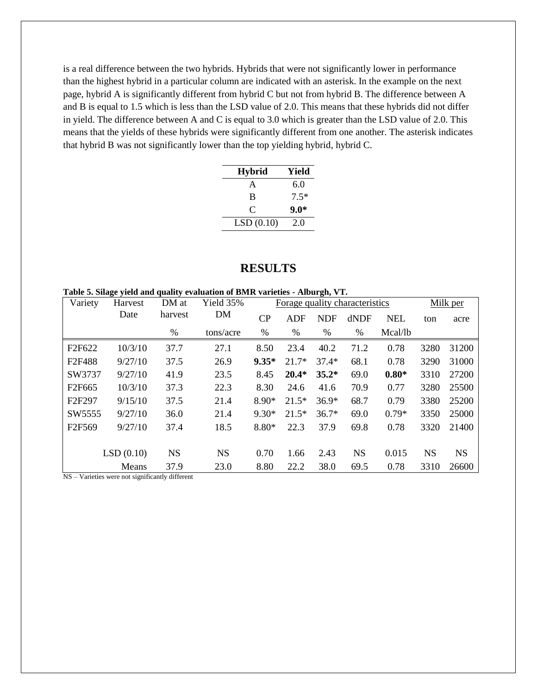is a real difference between the two hybrids. Hybrids that were not significantly lower in performance than the highest hybrid in a particular column are indicated with an asterisk. In the example on the next page, hybrid A is significantly different from hybrid C but not from hybrid B. The difference between A and B is equal to 1.5 which is less than the LSD value of 2.0. This means that these hybrids did not differ in yield. The difference between A and C is equal to 3.0 which is greater than the LSD value of 2.0. This means that the yields of these hybrids were significantly different from one another. The asterisk indicates that hybrid B was not significantly lower than the top yielding hybrid, hybrid C.

| <b>Hybrid</b> | Yield  |
|---------------|--------|
| A             | 6.0    |
| B             | $7.5*$ |
| $\subset$     | $9.0*$ |
| LSD(0.10)     | 2.0    |

#### **RESULTS**

**Table 5. Silage yield and quality evaluation of BMR varieties - Alburgh, VT.**

| Variety            | Harvest   | DM at     | Yield 35% | Forage quality characteristics |         |            |           |            | Milk per  |           |
|--------------------|-----------|-----------|-----------|--------------------------------|---------|------------|-----------|------------|-----------|-----------|
|                    | Date      | harvest   | DM        | CP                             | ADF     | <b>NDF</b> | dNDF      | <b>NEL</b> | ton       | acre      |
|                    |           | %         | tons/acre | %                              | %       | $\%$       | $\%$      | Mcal/lb    |           |           |
| F <sub>2F622</sub> | 10/3/10   | 37.7      | 27.1      | 8.50                           | 23.4    | 40.2       | 71.2      | 0.78       | 3280      | 31200     |
| F <sub>2F488</sub> | 9/27/10   | 37.5      | 26.9      | $9.35*$                        | $21.7*$ | $37.4*$    | 68.1      | 0.78       | 3290      | 31000     |
| SW3737             | 9/27/10   | 41.9      | 23.5      | 8.45                           | $20.4*$ | $35.2*$    | 69.0      | $0.80*$    | 3310      | 27200     |
| F <sub>2F665</sub> | 10/3/10   | 37.3      | 22.3      | 8.30                           | 24.6    | 41.6       | 70.9      | 0.77       | 3280      | 25500     |
| F <sub>2F297</sub> | 9/15/10   | 37.5      | 21.4      | 8.90*                          | $21.5*$ | $36.9*$    | 68.7      | 0.79       | 3380      | 25200     |
| SW5555             | 9/27/10   | 36.0      | 21.4      | $9.30*$                        | $21.5*$ | $36.7*$    | 69.0      | $0.79*$    | 3350      | 25000     |
| F2F569             | 9/27/10   | 37.4      | 18.5      | 8.80*                          | 22.3    | 37.9       | 69.8      | 0.78       | 3320      | 21400     |
|                    |           |           |           |                                |         |            |           |            |           |           |
|                    | LSD(0.10) | <b>NS</b> | <b>NS</b> | 0.70                           | 1.66    | 2.43       | <b>NS</b> | 0.015      | <b>NS</b> | <b>NS</b> |
|                    | Means     | 37.9      | 23.0      | 8.80                           | 22.2    | 38.0       | 69.5      | 0.78       | 3310      | 26600     |

NS – Varieties were not significantly different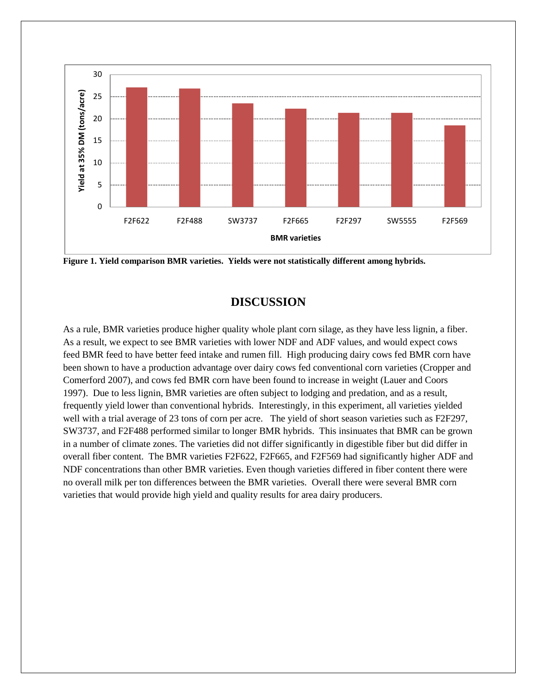



# **DISCUSSION**

As a rule, BMR varieties produce higher quality whole plant corn silage, as they have less lignin, a fiber. As a result, we expect to see BMR varieties with lower NDF and ADF values, and would expect cows feed BMR feed to have better feed intake and rumen fill. High producing dairy cows fed BMR corn have been shown to have a production advantage over dairy cows fed conventional corn varieties (Cropper and Comerford 2007), and cows fed BMR corn have been found to increase in weight (Lauer and Coors 1997). Due to less lignin, BMR varieties are often subject to lodging and predation, and as a result, frequently yield lower than conventional hybrids. Interestingly, in this experiment, all varieties yielded well with a trial average of 23 tons of corn per acre. The yield of short season varieties such as F2F297, SW3737, and F2F488 performed similar to longer BMR hybrids. This insinuates that BMR can be grown in a number of climate zones. The varieties did not differ significantly in digestible fiber but did differ in overall fiber content. The BMR varieties F2F622, F2F665, and F2F569 had significantly higher ADF and NDF concentrations than other BMR varieties. Even though varieties differed in fiber content there were no overall milk per ton differences between the BMR varieties. Overall there were several BMR corn varieties that would provide high yield and quality results for area dairy producers.